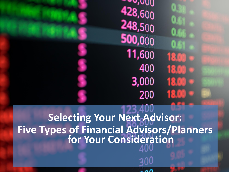∽∽,∪∪()  $428,600$ 248,500 500,000 11,600 18 G 400 180 3,000 18.0 200

**Selecting Your Next Advisor: Five Types of Financial Advisors/Planners for Your Consideration**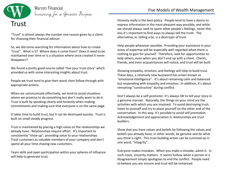

**Warren Financial** Investing for a Greater Purpose

"Trust" is almost always the number one reason given by a client for choosing their financial advisor.

So, we did some searching for information about how to create "trust". What is it? Where does it come from? Does it need to be maintained over time or is a situation where once created it never disappears?

We found a pretty good source called "live your trust story" which provided us with some interesting insights about trust.

People we trust tend to give their word, then follow through with appropriate actions.

When we communicate effectively, we tend to avoid situations where we promise to do something but don't really want to do it. Trust is built by speaking clearly and honestly when making commitments and making sure that everyone is on the same page.

It takes time to build trust, but it can be destroyed quickly. Trust is built on small steady progress.

Trust is maintained by placing a high value on the relationships we already have. Relationships require effort. It's important to consistently "show up", providing value to your relationships. Treat customers as valuable members of your company and don't spend all your time chasing new customers.

Team skills and open participation within your spheres of influence will help to generate trust.

#### Five Models of Wealth Management

Honesty really is the best policy. People tend to have a desire to express information in the most pleasant way possible, and while we should always seek to spare other people's feelings, never-theless it's important to find ways to always tell the truth. The alternative, ie. telling a lie, is a destroyer of trust.

Help people whenever possible. Providing your assistance in your areas of expertise will be especially well regarded when there is nothing to gain for yourself. Therefore, look for opportunities to help others, even when you don't end up with a client. Clients, friends, and even acquaintances will notice, and trust will be built.

Showing empathy, emotion, and feelings will help to build trust. These days, a relatively new buzzword has arisen known as "emotional intelligence". It's about remaining calm and balanced but responding with empathy and emotion. In addition, it's about remaining "constructive" during conflict.

Don't always be a self-promoter. It's always OK to tell your story in a genuine manner. Naturally, the things on your mind are the activities with which you are involved. To avoid destroying trust, listen to yourself and try to place yourself on the other end of the conversation. In this way, it's possible to avoid self promotion. Acknowledgement and appreciation in relationships are trust builders.

Show that you have values and beliefs by following the values and beliefs you already have, in other words, be genuine and do what you think is right. This trust building action can be summed up in one word, "integrity".

Everyone makes mistakes. When you make a mistake, admit it. In such cases, sincerity matters. It seems hollow when a person in a disagreement simply apologizes to end the conflict. People need to believe you are sincere and trust will be enhanced.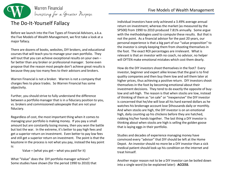

Before we launch into the Five Types of Financial Advisors, a.k.a. the Five Models of Wealth Management, we first take a look at a major fallacy.

There are dozens of books, websites, DIY brokers, and educational courses that will teach you to manage your own portfolio. They will tout that you can achieve exceptional results on your own – far better than any broker or professional manager. Some even propose that the reason most people don't achieve great results is because they pay too many fees to their advisors and brokers.

Warren Financial is not a broker. Warren is not a company that charges fees to place trades. So Warren Financial has some objectivity.

Further, you should strive to fully understand the difference between a portfolio manager that is in a fiduciary position to you, vs. brokers and commissioned salespeople that are not your fiduciary.

Regardless of cost, the most important thing when it comes to managing your portfolio is making money. If you pay a small amount but are constantly losing money, then you won the battle but lost the war. In the extreme, it's better to pay high fees and get a superior return on investment. Even better to pay low fees and still get a superior return on investment. The point is that the keystone in the process is not what you pay, instead the key point is:

Value = (what you get – what you paid for it)

What "Value" does the DIY portfolio manager achieve? Some studies have shown (for the period 1990 to 2010) that

individual investors have only achieved a 3.49% average annual return on investment; whereas the market (as measured by the SP500) from 1990 to 2010 produced 7.81% annually. Some argue with the methodologies used to compute these results. But that is not the point. As a financial advisor for the past 20 years, our personal experience is that a big part of our "value proposition" to the investor is simply keeping them from shooting themselves in the foot. The exact ROI percentages are irrelevant. What is relevant is that an investor with no coach, no advisor, no helper will OFTEN make emotional mistakes which cost them dearly.

How do the DIY investors shoot themselves in the foot? Every investor, beginner and expert alike knows that the goal is to find quality companies and then buy them low and sell them later at higher prices, thus achieving a positive return. DIY investors shoot themselves in the foot by becoming emotional about their investment decisions. They tend to do exactly the opposite of buylow and sell-high. The reason is that when stocks are low, instead of thinking of them as "on sale" or "inexpensive" the DIY investor is concerned that he/she will lose all his hard earned dollars as he watches his brokerage account lose \$thousands daily or monthly. And when stocks are high, the DIY investor is on an emotional high, daily counting up his chickens before they are hatched, rubbing his/her hands together. The last thing a DIY investor is thinking about when stocks are high is selling the golden goose that is laying eggs in their portfolio.

Studies and decades of experience managing money have convinced every "advisor" that DIY should be left at the Home Depot. An investor should no more be a DIY investor than a sick medical patient should look up his condition on the internet and treat himself.

Another major reason not to be a DIY investor can be boiled down into a single word (to be explained later): **ACCESS**.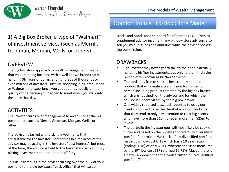

### 1) A Big Box Broker, a type of "Walmart" of investment services (such as Merrill, Goldman, Morgan, Wells, or others)

#### **OVERVIEW**

The big box store approach to wealth management means that you are doing business with a well known brand that is handling \$trillions of dollars and hundreds of thousands or even millions of investors. Just like shopping in a Home Depot or Walmart, the experience you get depends heavily on the quality of the person you happen to meet when you walk into the store that day.

### **ACTIVITIES**

The investor turns over management to an advisor at the big box retailer (such as Merrill, Goldman, Morgan, Wells, or other).

The advisor is tasked with picking investments that are suitable for the investor. Sometimes in a fee account the advisor may be acting in the investors "best interest", but most of the time, the advisor is held to the lower standard of simply picking investments that are "suitable" for you.

This usually results in the advisor turning over the bulk of your portfolio to the big box store "back office" that will select

Comfort from a Big-Box Store Model

stocks and bonds for a standard fee of perhaps 1%. Then to supplement advisor income, many big-box-store advisors also sell you mutual funds and annuities while the advisor pockets the commission.

- The investor may never get to talk to the people actually handling his/her investments, but only to the initial sales person often known as his/her "advisor".
- The advisor is free to sell the investor any suitable product that will create a commission for himself or herself including products created by the big box broker which are "pushed" on the advisor and for which the advisor is "incentivized" by the big box broker.
- One widely reported drawback reported to us by our clients who used to be the client of a big box broker is that they tend to only pay attention to their big clients who have more than \$10m or even more than \$25m to invest.
- The portfolio the investor gets will most likely be cookie cutter and based on the widely adopted "fully diversified portfolio" approach. We track a fully diversified portfolio made up of low cost ETFs which has a 10 year return (ending 2018) of only 6.04% whereas the SP as measured by the SPY low cost ETF returned 10.75% Maybe there is a better approach than the cookie cutter "fully diversified portfolio"?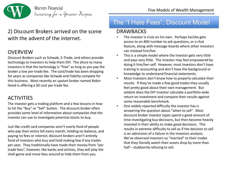

#### 2) Discount Brokers arrived on the scene with the advent of the internet.

#### **OVERVIEW**

Discount Brokers such as Schwab, E-Trade, and others provide technology to investors to help them DIY. The allure to many investors is that the technology is "free" as long as you pay the broker a low per-trade fee. The cost/trade has been dropping for years as companies like Schwab and Fidelity compete for this business. Most recently an upstart broker named Robin Hood is offering a \$0 cost per trade fee.

#### **ACTIVITIES**

The investor gets a trading platform and a few lessons in how to hit the "Buy" or "Sell" button. The discount broker often provides some level of information about companies that the investor can use to investigate potential stocks to buy.

Just like credit card companies aren't overly fond of people who pay their entire bill every month, holding no balance, and paying no fees or interest; discount brokers aren't entirely fond of investors who buy and hold making few if any trades per year. They traditionally have made their money from "per trade fees", however, like banks and airlines, they will play the shell game and move fees around to hide them from you.

# The "I Hate Fees", Discount Model

- The investor is truly on his own. Perhaps he/she gets access to an 800 number to ask questions, or a chat feature, along with message boards where other investors can mislead him/her.
- This is a simple model where the investor gets very little and pays very little. The investor may feel empowered by doing it him/her-self. However, most investors don't have training in accounting and don't have the background or knowledge to understand financial statements.
- Most investors don't know how to properly calculate their results. If they've made a few good trades they usually feel pretty good about their own management. But seldom does the DIY investor calculate a portfolio wide return on investment and compare their results against some reasonable benchmark.
- One widely reported difficulty the investor has is answering the question about "when to sell". Most discount broker investor types spend a good amount of time investigating buy decisions, but then become heavily invested in their ability to make good decisions. This results in extreme difficulty to sell as if the decision to sell is an admission of a failure in the investors analysis. We've observed investors so "married" to their trades that they literally watch their assets drop by more than half – stubbornly refusing to sell.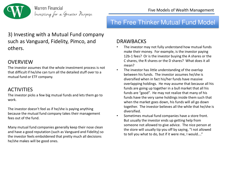

# The Free Thinker Mutual Fund Model

#### 3) Investing with a Mutual Fund company such as Vanguard, Fidelity, Pimco, and others.

#### **OVERVIEW**

The investor assumes that the whole investment process is not that difficult if he/she can turn all the detailed stuff over to a mutual fund or ETF company.

# ACTIVITIES

The investor picks a few big mutual funds and lets them go to work.

The investor doesn't feel as if he/she is paying anything because the mutual fund company takes their management fees out of the fund.

Many mutual fund companies generally keep their nose clean and have a good reputation (such as Vanguard and Fidelity) so the investor feels emboldened that pretty much all decisions he/she makes will be good ones.

- The investor may not fully understand how mutual funds make their money. For example, is the investor paying 12b-1 fees? Or is the investor buying the A shares or the C shares, the R shares or the D shares? What does it all mean?
- The investor has little understanding of the overlap between his funds. The investor assumes he/she is diversified when in fact his/her funds have massive overlapping holdings. He may assume that because all his funds are going up together in a bull market that all his funds are "good". He may not realize that many of his funds have the very same holdings inside them such that when the market goes down, his funds will all go down together. The investor believes all the while that he/she is diversified.
- Sometimes mutual fund companies have a store front. But usually the investor ends up getting help from someone not allowed to give advice. The nice person at the store will usually tip you off by saying, "I not allowed to tell you what to do, but if it were me, I would…."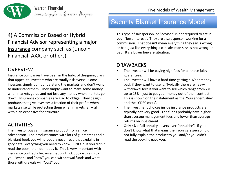

#### 4) A Commission Based or Hybrid Financial Advisor representing a major insurance company such as (Lincoln Financial, AXA, or others)

#### **OVERVIEW**

Insurance companies have been in the habit of designing plans that appeal to investors who are totally risk averse. Some investors simply don't understand the markets and don't want to understand them. They simply want to make some money when markets go up and not lose any money when markets go down. Insurance companies are glad to oblige. They design products that give investors a fraction of their profits when markets rise while protecting them when markets fall – all within an expensive fee structure.

#### ACTIVITIES

The investor buys an insurance product from a nice salesperson. The product comes with lots of guarantees and a big giant book you will probably never read that explains in gory detail everything you need to know. First tip: If you didn't read the book, then don't buy it. This is very important with insurance contracts because that big thick book explains to you "when" and "how" you can withdrawal funds and what those withdrawals will "cost" you.

# Security Blanket Insurance Model

This type of salesperson, or "advisor" is not required to act in your "best interest". They are a salesperson working for a commission. That doesn't mean everything they say is wrong or bad, just like everything a car salesman says is not wrong or bad. It's a buyer beware situation.

- The investor will be paying high fees for all those juicy guarantees.
- The investor will have a hard time getting his/her money back if they want to use it. Typically there are heavy withdrawal fees if you want to sell which range from 7% up to 15% - just to get your money out of their contract. This is shown on their statement as the "Surrender Value" and the "CDSC costs".
- The investment choices inside insurance products are typically not very good. The funds probably have higher than average management fees and lower than average returns on investment.
- Only 4% of all annuity buyers ever "annuitize". If you don't know what that means then your salesperson did not fully explain the product to you and/or you didn't read the book he gave you.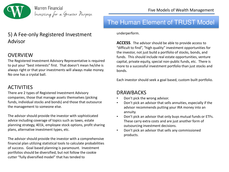

### 5) A Fee-only Registered Investment Advisor

#### **OVERVIEW**

The Registered Investment Advisory Representative is required to put your "best interests" first. That doesn't mean he/she is always right or that your investments will always make money. No one has a crystal ball.

#### ACTIVITIES

There are 2 types of Registered Investment Advisory companies, those that manage assets themselves (picking funds, individual stocks and bonds) and those that outsource the management to someone else.

The advisor should provide the investor with sophisticated advice including coverage of topics such as taxes, estate planning strategy, 401k, employee stock options, profit sharing plans, alternative investment types, etc.

The advisor should provide the investor with a comprehensive financial plan utilizing statistical tools to calculate probabilities of success. Goal based planning is paramount. Investment portfolios should be diversified, but not follow the cookie cutter "fully diversified model" that has tended to

# The Human Element of TRUST Model

underperform.

**ACCESS**. The advisor should be able to provide access to "difficult to find", "high quality" investment opportunities for the investor, not just build a portfolio of stocks, bonds, and funds. This should include real estate opportunities, venture capital, private equity, special non-public funds, etc. There is more to a successful investment portfolio than just stocks and bonds.

Each investor should seek a goal based, custom built portfolio.

- Don't pick the wrong advisor.
- Don't pick an advisor that sells annuities, especially if the advisor recommends putting your IRA money into an annuity.
- Don't pick an advisor that only buys mutual funds or ETFs. These carry extra costs and are just another form of outsourcing investment decisions.
- Don't pick an advisor that sells any commissioned products.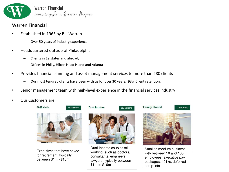

Warren Financial

- Established in 1965 by Bill Warren
	- Over 50 years of industry experience
- Headquartered outside of Philadelphia
	- Clients in 19 states and abroad,
	- Offices in Philly, Hilton Head Island and Atlanta
- Provides financial planning and asset management services to more than 280 clients
	- Our most tenured clients have been with us for over 30 years. 93% Client retention.
- Senior management team with high-level experience in the financial services industry

**Dual Income** 

• Our Customers are…



Executives that have saved for retirement, typically between \$1m - \$10m



**LEARN MORE** 

Dual Income couples still working, such as doctors, consultants, engineers, lawyers, typically between \$1m to \$10m







Small to medium business with between 10 and 100 employees, executive pay packages, 401ks, deferred comp, etc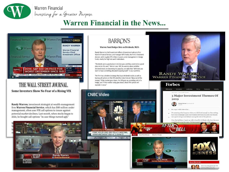

# **Warren Financial in the News...**



## THE WALL STREET JOURNAL.

Some Investors Show No Fear of a Rising VIX

Randy Warren, investment strategist at wealth-management firm Warren Financial Service, which has \$80 million under management, often uses VIX call options to insure against potential market declines. Last month, when stocks began to slide, he bought call options "in case things turned ugly."

STOCK<br>ALERT

 $\rightarrow \rightarrow \rightarrow$ 

**Randy Warren W** @warrenfinancia

#### **BARRON'S**

#### Warren Fund Hedges Bets on Dividends, MLPs

Randy Warren is chief investment officer of investment advisory firm Warren Financial Service, and manages WFS Funds, the firm's investment division, with roughly \$75 million in assets under management in hedge funds, mostly for high net worth individuals.

"Dividends were a good place to be last year, and they seem to be a good place to be this year," Warren says. Still, he worries about whether dividend stocks are becoming too popular, and adds that "definitely you want to have something allocated toward growth" in your portfolio.

The firm has a dividend strategy that buys dividends stocks as well as buying call options on the VIX volatility index that are "deep out of the money." If the market goes down, the VIX goes up, providing a bit of a hedge, and "if the market really goes down, those VIX options will explode in value."





#### **Forbes**



When the closing bell sounds, real